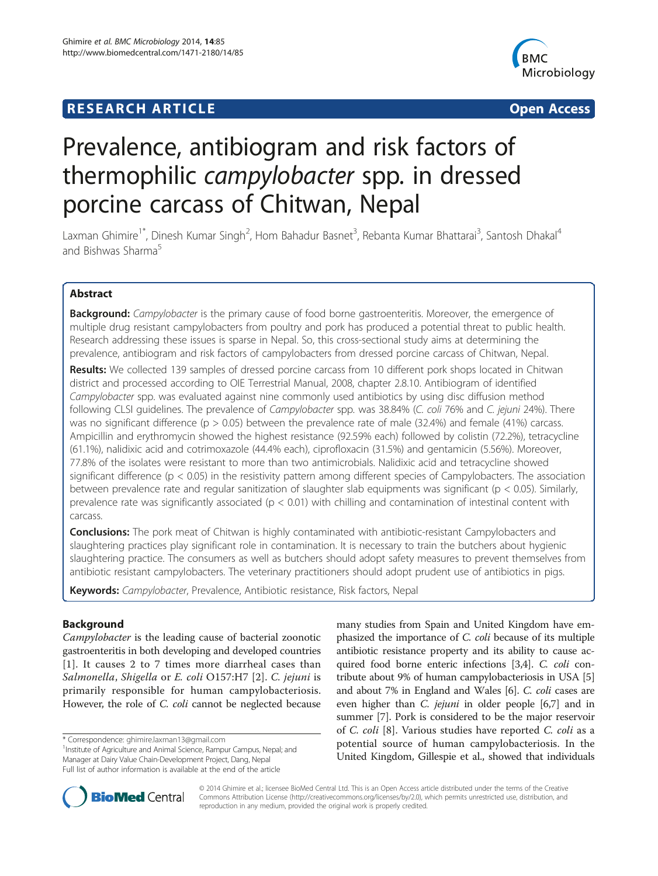# **RESEARCH ARTICLE Example 2014 12:30 The SEAR CHA RESEARCH ARTICLE**



# Prevalence, antibiogram and risk factors of thermophilic campylobacter spp. in dressed porcine carcass of Chitwan, Nepal

Laxman Ghimire<sup>1\*</sup>, Dinesh Kumar Singh<sup>2</sup>, Hom Bahadur Basnet<sup>3</sup>, Rebanta Kumar Bhattarai<sup>3</sup>, Santosh Dhakal<sup>4</sup> and Bishwas Sharma<sup>5</sup>

# Abstract

Background: Campylobacter is the primary cause of food borne gastroenteritis. Moreover, the emergence of multiple drug resistant campylobacters from poultry and pork has produced a potential threat to public health. Research addressing these issues is sparse in Nepal. So, this cross-sectional study aims at determining the prevalence, antibiogram and risk factors of campylobacters from dressed porcine carcass of Chitwan, Nepal.

Results: We collected 139 samples of dressed porcine carcass from 10 different pork shops located in Chitwan district and processed according to OIE Terrestrial Manual, 2008, chapter 2.8.10. Antibiogram of identified Campylobacter spp. was evaluated against nine commonly used antibiotics by using disc diffusion method following CLSI guidelines. The prevalence of Campylobacter spp. was 38.84% (C. coli 76% and C. jejuni 24%). There was no significant difference ( $p > 0.05$ ) between the prevalence rate of male (32.4%) and female (41%) carcass. Ampicillin and erythromycin showed the highest resistance (92.59% each) followed by colistin (72.2%), tetracycline (61.1%), nalidixic acid and cotrimoxazole (44.4% each), ciprofloxacin (31.5%) and gentamicin (5.56%). Moreover, 77.8% of the isolates were resistant to more than two antimicrobials. Nalidixic acid and tetracycline showed significant difference ( $p < 0.05$ ) in the resistivity pattern among different species of Campylobacters. The association between prevalence rate and regular sanitization of slaughter slab equipments was significant ( $p < 0.05$ ). Similarly, prevalence rate was significantly associated ( $p < 0.01$ ) with chilling and contamination of intestinal content with carcass.

**Conclusions:** The pork meat of Chitwan is highly contaminated with antibiotic-resistant Campylobacters and slaughtering practices play significant role in contamination. It is necessary to train the butchers about hygienic slaughtering practice. The consumers as well as butchers should adopt safety measures to prevent themselves from antibiotic resistant campylobacters. The veterinary practitioners should adopt prudent use of antibiotics in pigs.

Keywords: Campylobacter, Prevalence, Antibiotic resistance, Risk factors, Nepal

# Background

Campylobacter is the leading cause of bacterial zoonotic gastroenteritis in both developing and developed countries [[1](#page-5-0)]. It causes 2 to 7 times more diarrheal cases than Salmonella, Shigella or E. coli O157:H7 [\[2\]](#page-5-0). C. jejuni is primarily responsible for human campylobacteriosis. However, the role of C. coli cannot be neglected because

many studies from Spain and United Kingdom have emphasized the importance of C. coli because of its multiple antibiotic resistance property and its ability to cause acquired food borne enteric infections [\[3](#page-5-0)[,4\]](#page-6-0). C. coli contribute about 9% of human campylobacteriosis in USA [[5](#page-6-0)] and about 7% in England and Wales [\[6](#page-6-0)]. C. coli cases are even higher than C. jejuni in older people [[6,7\]](#page-6-0) and in summer [\[7](#page-6-0)]. Pork is considered to be the major reservoir of C. coli [[8\]](#page-6-0). Various studies have reported C. coli as a potential source of human campylobacteriosis. In the United Kingdom, Gillespie et al., showed that individuals



© 2014 Ghimire et al.; licensee BioMed Central Ltd. This is an Open Access article distributed under the terms of the Creative Commons Attribution License [\(http://creativecommons.org/licenses/by/2.0\)](http://creativecommons.org/licenses/by/2.0), which permits unrestricted use, distribution, and reproduction in any medium, provided the original work is properly credited.

<sup>\*</sup> Correspondence: [ghimire.laxman13@gmail.com](mailto:ghimire.laxman13@gmail.com) <sup>1</sup>

<sup>&</sup>lt;sup>1</sup> Institute of Agriculture and Animal Science, Rampur Campus, Nepal; and Manager at Dairy Value Chain-Development Project, Dang, Nepal Full list of author information is available at the end of the article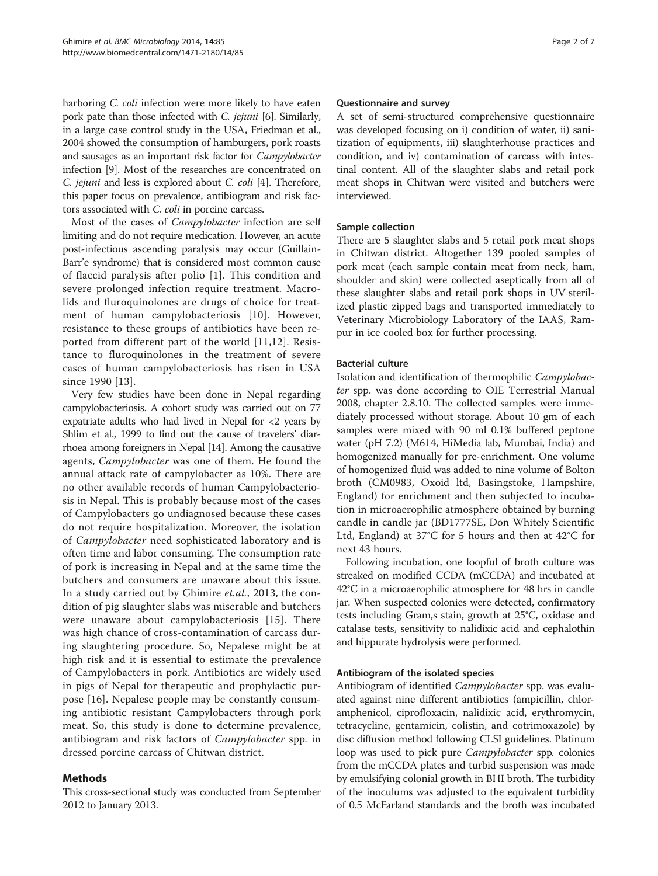harboring *C. coli* infection were more likely to have eaten pork pate than those infected with C. jejuni [\[6](#page-6-0)]. Similarly, in a large case control study in the USA, Friedman et al., 2004 showed the consumption of hamburgers, pork roasts and sausages as an important risk factor for Campylobacter infection [\[9](#page-6-0)]. Most of the researches are concentrated on C. jejuni and less is explored about C. coli [[4](#page-6-0)]. Therefore, this paper focus on prevalence, antibiogram and risk factors associated with C. coli in porcine carcass.

Most of the cases of Campylobacter infection are self limiting and do not require medication. However, an acute post-infectious ascending paralysis may occur (Guillain-Barr'e syndrome) that is considered most common cause of flaccid paralysis after polio [[1](#page-5-0)]. This condition and severe prolonged infection require treatment. Macrolids and fluroquinolones are drugs of choice for treatment of human campylobacteriosis [\[10\]](#page-6-0). However, resistance to these groups of antibiotics have been reported from different part of the world [\[11,12](#page-6-0)]. Resistance to fluroquinolones in the treatment of severe cases of human campylobacteriosis has risen in USA since 1990 [\[13](#page-6-0)].

Very few studies have been done in Nepal regarding campylobacteriosis. A cohort study was carried out on 77 expatriate adults who had lived in Nepal for <2 years by Shlim et al., 1999 to find out the cause of travelers' diarrhoea among foreigners in Nepal [\[14\]](#page-6-0). Among the causative agents, Campylobacter was one of them. He found the annual attack rate of campylobacter as 10%. There are no other available records of human Campylobacteriosis in Nepal. This is probably because most of the cases of Campylobacters go undiagnosed because these cases do not require hospitalization. Moreover, the isolation of Campylobacter need sophisticated laboratory and is often time and labor consuming. The consumption rate of pork is increasing in Nepal and at the same time the butchers and consumers are unaware about this issue. In a study carried out by Ghimire et.al., 2013, the condition of pig slaughter slabs was miserable and butchers were unaware about campylobacteriosis [[15\]](#page-6-0). There was high chance of cross-contamination of carcass during slaughtering procedure. So, Nepalese might be at high risk and it is essential to estimate the prevalence of Campylobacters in pork. Antibiotics are widely used in pigs of Nepal for therapeutic and prophylactic purpose [\[16](#page-6-0)]. Nepalese people may be constantly consuming antibiotic resistant Campylobacters through pork meat. So, this study is done to determine prevalence, antibiogram and risk factors of Campylobacter spp. in dressed porcine carcass of Chitwan district.

# Methods

This cross-sectional study was conducted from September 2012 to January 2013.

#### Questionnaire and survey

A set of semi-structured comprehensive questionnaire was developed focusing on i) condition of water, ii) sanitization of equipments, iii) slaughterhouse practices and condition, and iv) contamination of carcass with intestinal content. All of the slaughter slabs and retail pork meat shops in Chitwan were visited and butchers were interviewed.

# Sample collection

There are 5 slaughter slabs and 5 retail pork meat shops in Chitwan district. Altogether 139 pooled samples of pork meat (each sample contain meat from neck, ham, shoulder and skin) were collected aseptically from all of these slaughter slabs and retail pork shops in UV sterilized plastic zipped bags and transported immediately to Veterinary Microbiology Laboratory of the IAAS, Rampur in ice cooled box for further processing.

#### Bacterial culture

Isolation and identification of thermophilic Campylobacter spp. was done according to OIE Terrestrial Manual 2008, chapter 2.8.10. The collected samples were immediately processed without storage. About 10 gm of each samples were mixed with 90 ml 0.1% buffered peptone water (pH 7.2) (M614, HiMedia lab, Mumbai, India) and homogenized manually for pre-enrichment. One volume of homogenized fluid was added to nine volume of Bolton broth (CM0983, Oxoid ltd, Basingstoke, Hampshire, England) for enrichment and then subjected to incubation in microaerophilic atmosphere obtained by burning candle in candle jar (BD1777SE, Don Whitely Scientific Ltd, England) at 37°C for 5 hours and then at 42°C for next 43 hours.

Following incubation, one loopful of broth culture was streaked on modified CCDA (mCCDA) and incubated at 42°C in a microaerophilic atmosphere for 48 hrs in candle jar. When suspected colonies were detected, confirmatory tests including Gram,s stain, growth at 25°C, oxidase and catalase tests, sensitivity to nalidixic acid and cephalothin and hippurate hydrolysis were performed.

#### Antibiogram of the isolated species

Antibiogram of identified Campylobacter spp. was evaluated against nine different antibiotics (ampicillin, chloramphenicol, ciprofloxacin, nalidixic acid, erythromycin, tetracycline, gentamicin, colistin, and cotrimoxazole) by disc diffusion method following CLSI guidelines. Platinum loop was used to pick pure *Campylobacter* spp. colonies from the mCCDA plates and turbid suspension was made by emulsifying colonial growth in BHI broth. The turbidity of the inoculums was adjusted to the equivalent turbidity of 0.5 McFarland standards and the broth was incubated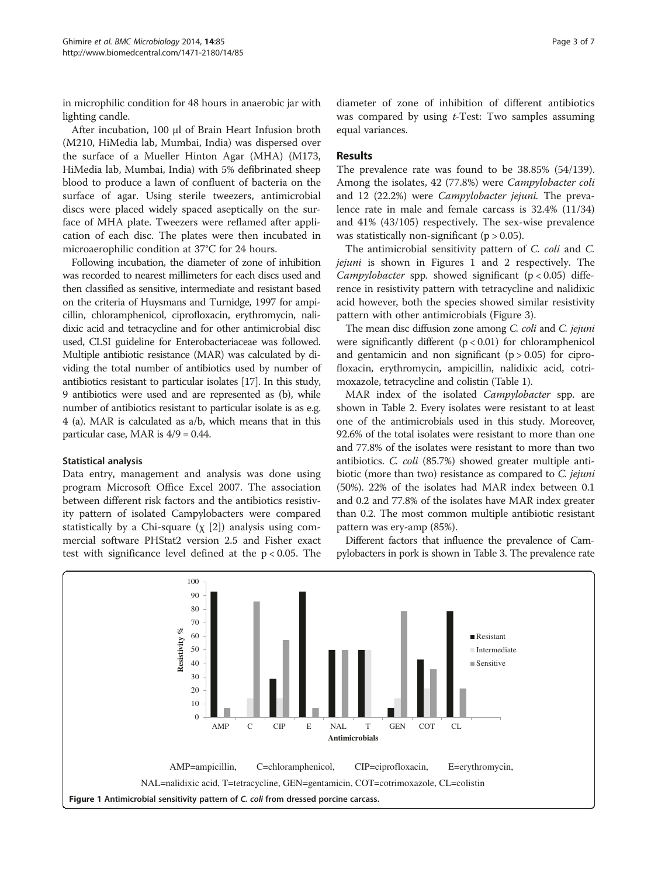in microphilic condition for 48 hours in anaerobic jar with lighting candle.

After incubation, 100 μl of Brain Heart Infusion broth (M210, HiMedia lab, Mumbai, India) was dispersed over the surface of a Mueller Hinton Agar (MHA) (M173, HiMedia lab, Mumbai, India) with 5% defibrinated sheep blood to produce a lawn of confluent of bacteria on the surface of agar. Using sterile tweezers, antimicrobial discs were placed widely spaced aseptically on the surface of MHA plate. Tweezers were reflamed after application of each disc. The plates were then incubated in microaerophilic condition at 37°C for 24 hours.

Following incubation, the diameter of zone of inhibition was recorded to nearest millimeters for each discs used and then classified as sensitive, intermediate and resistant based on the criteria of Huysmans and Turnidge, 1997 for ampicillin, chloramphenicol, ciprofloxacin, erythromycin, nalidixic acid and tetracycline and for other antimicrobial disc used, CLSI guideline for Enterobacteriaceae was followed. Multiple antibiotic resistance (MAR) was calculated by dividing the total number of antibiotics used by number of antibiotics resistant to particular isolates [\[17\]](#page-6-0). In this study, 9 antibiotics were used and are represented as (b), while number of antibiotics resistant to particular isolate is as e.g. 4 (a). MAR is calculated as a/b, which means that in this particular case, MAR is  $4/9 = 0.44$ .

# Statistical analysis

Data entry, management and analysis was done using program Microsoft Office Excel 2007. The association between different risk factors and the antibiotics resistivity pattern of isolated Campylobacters were compared statistically by a Chi-square  $(\chi$  [\[2](#page-5-0)]) analysis using commercial software PHStat2 version 2.5 and Fisher exact test with significance level defined at the p < 0.05. The

diameter of zone of inhibition of different antibiotics was compared by using *t*-Test: Two samples assuming equal variances.

# Results

The prevalence rate was found to be 38.85% (54/139). Among the isolates, 42 (77.8%) were Campylobacter coli and 12 (22.2%) were Campylobacter jejuni. The prevalence rate in male and female carcass is 32.4% (11/34) and 41% (43/105) respectively. The sex-wise prevalence was statistically non-significant ( $p > 0.05$ ).

The antimicrobial sensitivity pattern of C. coli and C. jejuni is shown in Figures 1 and [2](#page-3-0) respectively. The Campylobacter spp. showed significant  $(p < 0.05)$  difference in resistivity pattern with tetracycline and nalidixic acid however, both the species showed similar resistivity pattern with other antimicrobials (Figure [3](#page-3-0)).

The mean disc diffusion zone among C. coli and C. jejuni were significantly different (p < 0.01) for chloramphenicol and gentamicin and non significant  $(p > 0.05)$  for ciprofloxacin, erythromycin, ampicillin, nalidixic acid, cotrimoxazole, tetracycline and colistin (Table [1](#page-4-0)).

MAR index of the isolated *Campylobacter* spp. are shown in Table [2](#page-4-0). Every isolates were resistant to at least one of the antimicrobials used in this study. Moreover, 92.6% of the total isolates were resistant to more than one and 77.8% of the isolates were resistant to more than two antibiotics. C. coli (85.7%) showed greater multiple antibiotic (more than two) resistance as compared to C. jejuni (50%). 22% of the isolates had MAR index between 0.1 and 0.2 and 77.8% of the isolates have MAR index greater than 0.2. The most common multiple antibiotic resistant pattern was ery-amp (85%).

Different factors that influence the prevalence of Campylobacters in pork is shown in Table [3](#page-4-0). The prevalence rate

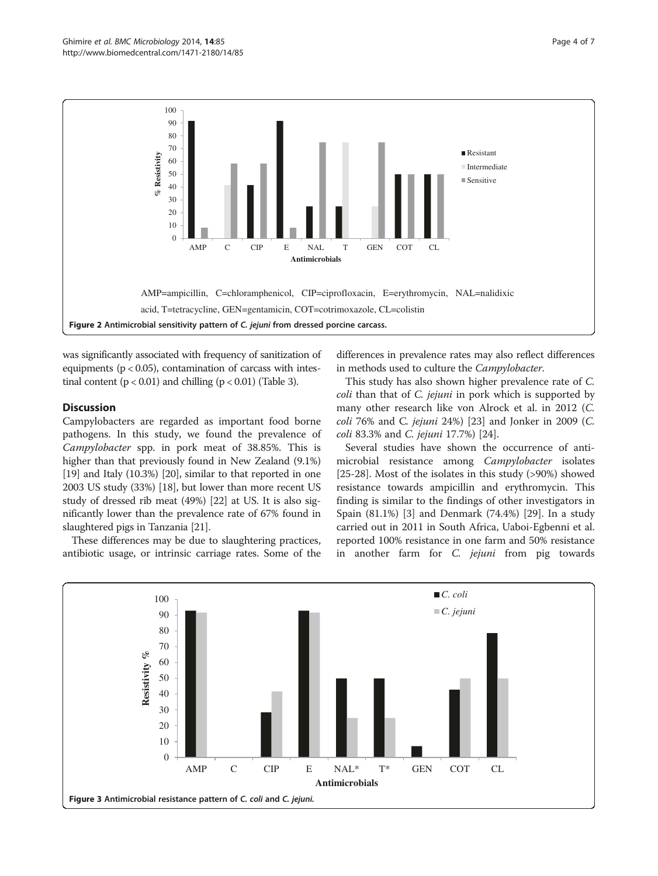<span id="page-3-0"></span>

was significantly associated with frequency of sanitization of equipments ( $p < 0.05$ ), contamination of carcass with intestinal content  $(p < 0.01)$  and chilling  $(p < 0.01)$  (Table [3](#page-4-0)).

# **Discussion**

Campylobacters are regarded as important food borne pathogens. In this study, we found the prevalence of Campylobacter spp. in pork meat of 38.85%. This is higher than that previously found in New Zealand (9.1%) [[19](#page-6-0)] and Italy (10.3%) [[20](#page-6-0)], similar to that reported in one 2003 US study (33%) [[18](#page-6-0)], but lower than more recent US study of dressed rib meat (49%) [\[22\]](#page-6-0) at US. It is also significantly lower than the prevalence rate of 67% found in slaughtered pigs in Tanzania [[21](#page-6-0)].

These differences may be due to slaughtering practices, antibiotic usage, or intrinsic carriage rates. Some of the

differences in prevalence rates may also reflect differences in methods used to culture the Campylobacter.

This study has also shown higher prevalence rate of C. coli than that of C. jejuni in pork which is supported by many other research like von Alrock et al. in 2012 (C. coli 76% and C. jejuni 24%) [[23](#page-6-0)] and Jonker in 2009 (C. coli 83.3% and C. jejuni 17.7%) [[24\]](#page-6-0).

Several studies have shown the occurrence of antimicrobial resistance among Campylobacter isolates [[25-28](#page-6-0)]. Most of the isolates in this study (>90%) showed resistance towards ampicillin and erythromycin. This finding is similar to the findings of other investigators in Spain (81.1%) [[3\]](#page-5-0) and Denmark (74.4%) [\[29](#page-6-0)]. In a study carried out in 2011 in South Africa, Uaboi-Egbenni et al. reported 100% resistance in one farm and 50% resistance in another farm for C. jejuni from pig towards

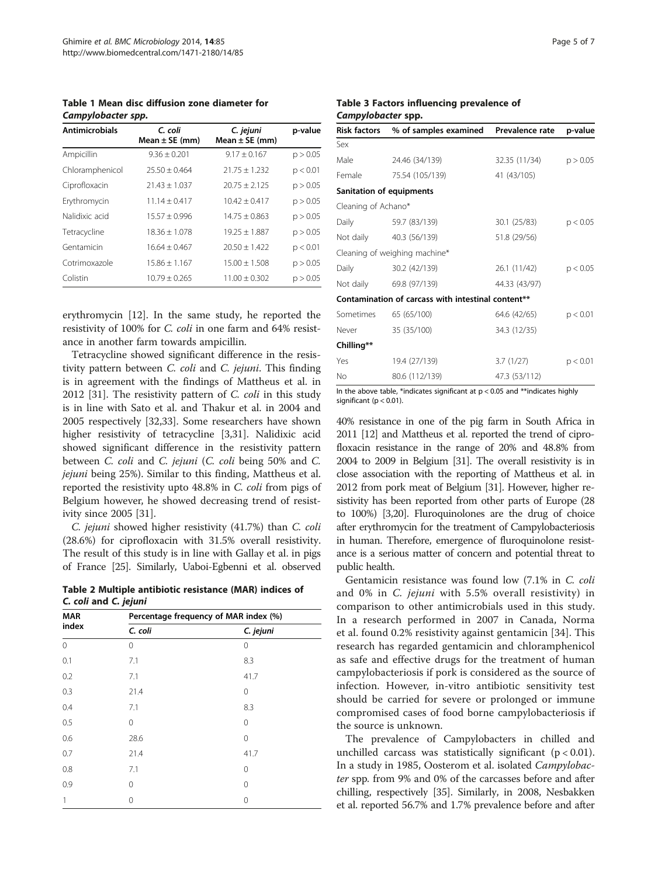<span id="page-4-0"></span>Table 1 Mean disc diffusion zone diameter for Campylobacter spp.

| <b>Antimicrobials</b> | C. coli<br>Mean $\pm$ SE (mm) | C. jejuni<br>Mean $\pm$ SE (mm) | p-value  |
|-----------------------|-------------------------------|---------------------------------|----------|
| Ampicillin            | $9.36 \pm 0.201$              | $9.17 \pm 0.167$                | p > 0.05 |
| Chloramphenicol       | $25.50 + 0.464$               | $21.75 \pm 1.232$               | p < 0.01 |
| Ciprofloxacin         | $21.43 + 1.037$               | $20.75 + 2.125$                 | p > 0.05 |
| Erythromycin          | $11.14 + 0.417$               | $10.42 + 0.417$                 | p > 0.05 |
| Nalidixic acid        | $15.57 + 0.996$               | $14.75 + 0.863$                 | p > 0.05 |
| Tetracycline          | $18.36 + 1.078$               | $19.25 + 1.887$                 | p > 0.05 |
| Gentamicin            | $16.64 + 0.467$               | $20.50 + 1.422$                 | p < 0.01 |
| Cotrimoxazole         | $15.86 + 1.167$               | $15.00 + 1.508$                 | p > 0.05 |
| Colistin              | $10.79 \pm 0.265$             | $11.00 + 0.302$                 | p > 0.05 |

erythromycin [\[12](#page-6-0)]. In the same study, he reported the resistivity of 100% for C. coli in one farm and 64% resistance in another farm towards ampicillin.

Tetracycline showed significant difference in the resistivity pattern between C. coli and C. jejuni. This finding is in agreement with the findings of Mattheus et al. in 2012 [\[31\]](#page-6-0). The resistivity pattern of C. coli in this study is in line with Sato et al. and Thakur et al. in 2004 and 2005 respectively [[32](#page-6-0),[33](#page-6-0)]. Some researchers have shown higher resistivity of tetracycline [\[3](#page-5-0)[,31](#page-6-0)]. Nalidixic acid showed significant difference in the resistivity pattern between C. coli and C. jejuni (C. coli being 50% and C. jejuni being 25%). Similar to this finding, Mattheus et al. reported the resistivity upto 48.8% in C. coli from pigs of Belgium however, he showed decreasing trend of resistivity since 2005 [\[31\]](#page-6-0).

C. jejuni showed higher resistivity (41.7%) than C. coli (28.6%) for ciprofloxacin with 31.5% overall resistivity. The result of this study is in line with Gallay et al. in pigs of France [\[25\]](#page-6-0). Similarly, Uaboi-Egbenni et al. observed

Table 2 Multiple antibiotic resistance (MAR) indices of C. coli and C. jejuni

| <b>MAR</b><br>index | Percentage frequency of MAR index (%) |           |  |
|---------------------|---------------------------------------|-----------|--|
|                     | C. coli                               | C. jejuni |  |
| 0                   | 0                                     | 0         |  |
| 0.1                 | 7.1                                   | 8.3       |  |
| 0.2                 | 7.1                                   | 41.7      |  |
| 0.3                 | 21.4                                  | 0         |  |
| 0.4                 | 7.1                                   | 8.3       |  |
| 0.5                 | 0                                     | $\Omega$  |  |
| 0.6                 | 28.6                                  | 0         |  |
| 0.7                 | 21.4                                  | 41.7      |  |
| 0.8                 | 7.1                                   | $\Omega$  |  |
| 0.9                 | 0                                     | $\Omega$  |  |
| 1                   | 0                                     | 0         |  |

#### Table 3 Factors influencing prevalence of Campylobacter spp.

| <b>Risk factors</b>      | % of samples examined                              | Prevalence rate | p-value  |
|--------------------------|----------------------------------------------------|-----------------|----------|
| Sex                      |                                                    |                 |          |
| Male                     | 24.46 (34/139)                                     | 32.35 (11/34)   | p > 0.05 |
| Female                   | 75.54 (105/139)                                    | 41 (43/105)     |          |
| Sanitation of equipments |                                                    |                 |          |
| Cleaning of Achano*      |                                                    |                 |          |
| Daily                    | 59.7 (83/139)                                      | 30.1 (25/83)    | p < 0.05 |
| Not daily                | 40.3 (56/139)                                      | 51.8 (29/56)    |          |
|                          | Cleaning of weighing machine*                      |                 |          |
| Daily                    | 30.2 (42/139)                                      | 26.1 (11/42)    | p < 0.05 |
|                          | Not daily 69.8 (97/139)                            | 44.33 (43/97)   |          |
|                          | Contamination of carcass with intestinal content** |                 |          |
| Sometimes                | 65 (65/100)                                        | 64.6 (42/65)    | p < 0.01 |
| Never                    | 35 (35/100)                                        | 34.3 (12/35)    |          |
| Chilling**               |                                                    |                 |          |
| Yes                      | 19.4 (27/139)                                      | 3.7(1/27)       | p < 0.01 |
| <b>No</b>                | 80.6 (112/139)                                     | 47.3 (53/112)   |          |

In the above table, \*indicates significant at  $p < 0.05$  and \*\*indicates highly significant ( $p < 0.01$ )

40% resistance in one of the pig farm in South Africa in 2011 [\[12](#page-6-0)] and Mattheus et al. reported the trend of ciprofloxacin resistance in the range of 20% and 48.8% from 2004 to 2009 in Belgium [\[31](#page-6-0)]. The overall resistivity is in close association with the reporting of Mattheus et al. in 2012 from pork meat of Belgium [\[31\]](#page-6-0). However, higher resistivity has been reported from other parts of Europe (28 to 100%) [\[3,](#page-5-0)[20](#page-6-0)]. Fluroquinolones are the drug of choice after erythromycin for the treatment of Campylobacteriosis in human. Therefore, emergence of fluroquinolone resistance is a serious matter of concern and potential threat to public health.

Gentamicin resistance was found low (7.1% in C. coli and 0% in C. jejuni with 5.5% overall resistivity) in comparison to other antimicrobials used in this study. In a research performed in 2007 in Canada, Norma et al. found 0.2% resistivity against gentamicin [[34](#page-6-0)]. This research has regarded gentamicin and chloramphenicol as safe and effective drugs for the treatment of human campylobacteriosis if pork is considered as the source of infection. However, in-vitro antibiotic sensitivity test should be carried for severe or prolonged or immune compromised cases of food borne campylobacteriosis if the source is unknown.

The prevalence of Campylobacters in chilled and unchilled carcass was statistically significant  $(p < 0.01)$ . In a study in 1985, Oosterom et al. isolated Campylobacter spp. from 9% and 0% of the carcasses before and after chilling, respectively [\[35\]](#page-6-0). Similarly, in 2008, Nesbakken et al. reported 56.7% and 1.7% prevalence before and after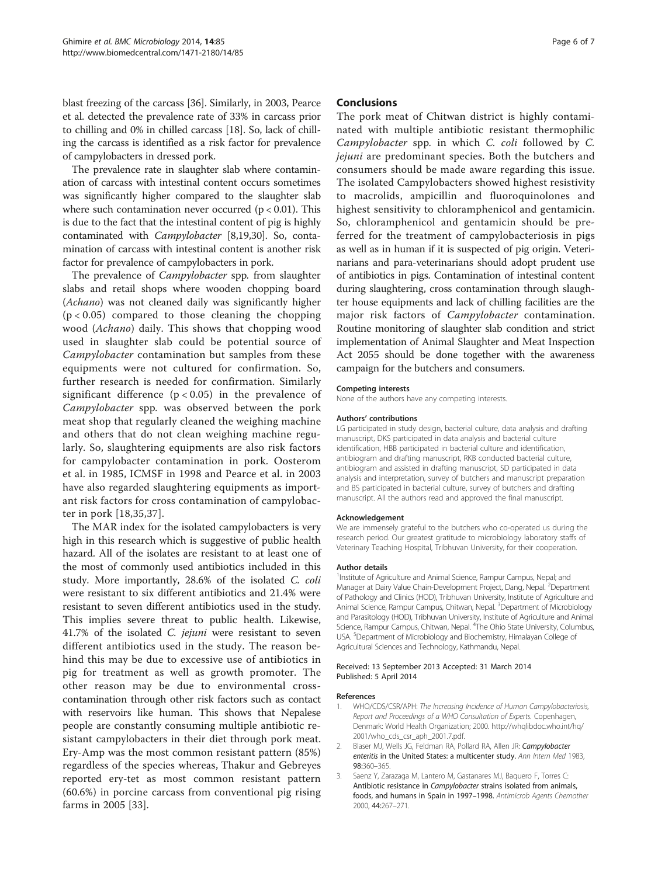<span id="page-5-0"></span>blast freezing of the carcass [\[36\]](#page-6-0). Similarly, in 2003, Pearce et al. detected the prevalence rate of 33% in carcass prior to chilling and 0% in chilled carcass [\[18](#page-6-0)]. So, lack of chilling the carcass is identified as a risk factor for prevalence of campylobacters in dressed pork.

The prevalence rate in slaughter slab where contamination of carcass with intestinal content occurs sometimes was significantly higher compared to the slaughter slab where such contamination never occurred ( $p < 0.01$ ). This is due to the fact that the intestinal content of pig is highly contaminated with Campylobacter [[8,19,30](#page-6-0)]. So, contamination of carcass with intestinal content is another risk factor for prevalence of campylobacters in pork.

The prevalence of *Campylobacter* spp. from slaughter slabs and retail shops where wooden chopping board (Achano) was not cleaned daily was significantly higher  $(p < 0.05)$  compared to those cleaning the chopping wood (Achano) daily. This shows that chopping wood used in slaughter slab could be potential source of Campylobacter contamination but samples from these equipments were not cultured for confirmation. So, further research is needed for confirmation. Similarly significant difference  $(p < 0.05)$  in the prevalence of Campylobacter spp. was observed between the pork meat shop that regularly cleaned the weighing machine and others that do not clean weighing machine regularly. So, slaughtering equipments are also risk factors for campylobacter contamination in pork. Oosterom et al. in 1985, ICMSF in 1998 and Pearce et al. in 2003 have also regarded slaughtering equipments as important risk factors for cross contamination of campylobacter in pork [[18,35,37](#page-6-0)].

The MAR index for the isolated campylobacters is very high in this research which is suggestive of public health hazard. All of the isolates are resistant to at least one of the most of commonly used antibiotics included in this study. More importantly, 28.6% of the isolated C. coli were resistant to six different antibiotics and 21.4% were resistant to seven different antibiotics used in the study. This implies severe threat to public health. Likewise, 41.7% of the isolated C. jejuni were resistant to seven different antibiotics used in the study. The reason behind this may be due to excessive use of antibiotics in pig for treatment as well as growth promoter. The other reason may be due to environmental crosscontamination through other risk factors such as contact with reservoirs like human. This shows that Nepalese people are constantly consuming multiple antibiotic resistant campylobacters in their diet through pork meat. Ery-Amp was the most common resistant pattern (85%) regardless of the species whereas, Thakur and Gebreyes reported ery-tet as most common resistant pattern (60.6%) in porcine carcass from conventional pig rising farms in 2005 [\[33](#page-6-0)].

#### Conclusions

The pork meat of Chitwan district is highly contaminated with multiple antibiotic resistant thermophilic Campylobacter spp. in which C. coli followed by C. jejuni are predominant species. Both the butchers and consumers should be made aware regarding this issue. The isolated Campylobacters showed highest resistivity to macrolids, ampicillin and fluoroquinolones and highest sensitivity to chloramphenicol and gentamicin. So, chloramphenicol and gentamicin should be preferred for the treatment of campylobacteriosis in pigs as well as in human if it is suspected of pig origin. Veterinarians and para-veterinarians should adopt prudent use of antibiotics in pigs. Contamination of intestinal content during slaughtering, cross contamination through slaughter house equipments and lack of chilling facilities are the major risk factors of Campylobacter contamination. Routine monitoring of slaughter slab condition and strict implementation of Animal Slaughter and Meat Inspection Act 2055 should be done together with the awareness campaign for the butchers and consumers.

#### Competing interests

None of the authors have any competing interests.

#### Authors' contributions

LG participated in study design, bacterial culture, data analysis and drafting manuscript, DKS participated in data analysis and bacterial culture identification, HBB participated in bacterial culture and identification, antibiogram and drafting manuscript, RKB conducted bacterial culture, antibiogram and assisted in drafting manuscript, SD participated in data analysis and interpretation, survey of butchers and manuscript preparation and BS participated in bacterial culture, survey of butchers and drafting manuscript. All the authors read and approved the final manuscript.

#### Acknowledgement

We are immensely grateful to the butchers who co-operated us during the research period. Our greatest gratitude to microbiology laboratory staffs of Veterinary Teaching Hospital, Tribhuvan University, for their cooperation.

#### Author details

<sup>1</sup>Institute of Agriculture and Animal Science, Rampur Campus, Nepal; and Manager at Dairy Value Chain-Development Project, Dang, Nepal. <sup>2</sup>Department of Pathology and Clinics (HOD), Tribhuvan University, Institute of Agriculture and Animal Science, Rampur Campus, Chitwan, Nepal. <sup>3</sup>Department of Microbiology and Parasitology (HOD), Tribhuvan University, Institute of Agriculture and Animal Science, Rampur Campus, Chitwan, Nepal. <sup>4</sup>The Ohio State University, Columbus, USA. <sup>5</sup>Department of Microbiology and Biochemistry, Himalayan College of Agricultural Sciences and Technology, Kathmandu, Nepal.

#### Received: 13 September 2013 Accepted: 31 March 2014 Published: 5 April 2014

#### References

- 1. WHO/CDS/CSR/APH: The Increasing Incidence of Human Campylobacteriosis, Report and Proceedings of a WHO Consultation of Experts. Copenhagen, Denmark: World Health Organization; 2000. [http://whqlibdoc.who.int/hq/](http://whqlibdoc.who.int/hq/2001/who_cds_csr_aph_2001.7.pdf) [2001/who\\_cds\\_csr\\_aph\\_2001.7.pdf.](http://whqlibdoc.who.int/hq/2001/who_cds_csr_aph_2001.7.pdf)
- 2. Blaser MJ, Wells JG, Feldman RA, Pollard RA, Allen JR: Campylobacter enteritis in the United States: a multicenter study. Ann Intern Med 1983, 98:360–365.
- 3. Saenz Y, Zarazaga M, Lantero M, Gastanares MJ, Baquero F, Torres C: Antibiotic resistance in Campylobacter strains isolated from animals, foods, and humans in Spain in 1997–1998. Antimicrob Agents Chemother 2000, 44:267–271.